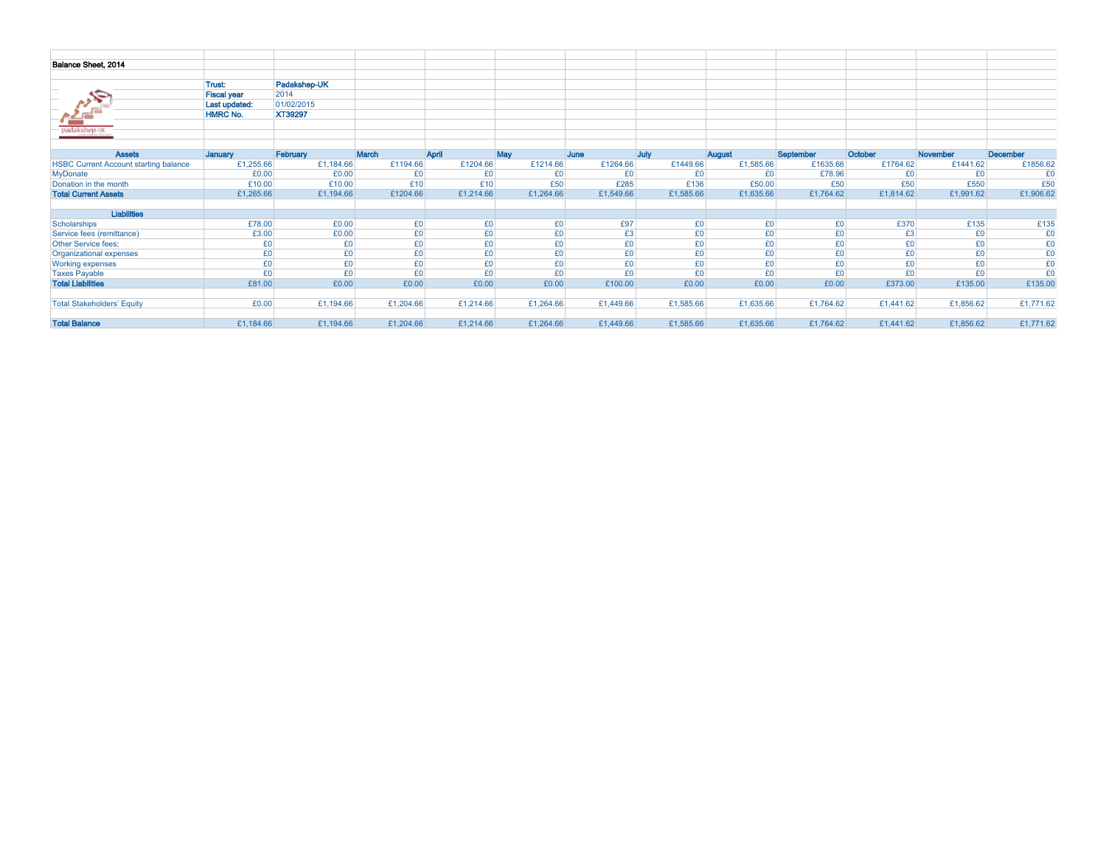| Balance Sheet, 2014                          |                    |              |           |           |           |           |           |           |           |           |                 |           |
|----------------------------------------------|--------------------|--------------|-----------|-----------|-----------|-----------|-----------|-----------|-----------|-----------|-----------------|-----------|
|                                              |                    |              |           |           |           |           |           |           |           |           |                 |           |
|                                              | Trust:             | Padakshep-UK |           |           |           |           |           |           |           |           |                 |           |
| S٣                                           | <b>Fiscal year</b> | 2014         |           |           |           |           |           |           |           |           |                 |           |
|                                              | Last updated:      | 01/02/2015   |           |           |           |           |           |           |           |           |                 |           |
|                                              | <b>HMRC No.</b>    | XT39297      |           |           |           |           |           |           |           |           |                 |           |
|                                              |                    |              |           |           |           |           |           |           |           |           |                 |           |
| <b>Packakshep-uk</b>                         |                    |              |           |           |           |           |           |           |           |           |                 |           |
|                                              |                    |              |           |           |           |           |           |           |           |           |                 |           |
| <b>Assets</b>                                | January            | February     | March     | April     | May       | June      | July      | August    | September | October   | <b>November</b> | December  |
| <b>HSBC Current Account starting balance</b> | £1,255.66          | £1,184.66    | £1194.66  | £1204.66  | £1214.66  | £1264.66  | £1449.66  | £1,585.66 | £1635.66  | £1764.62  | £1441.62        | £1856.62  |
| <b>MyDonate</b>                              | £0.00              | £0.00        | £0        | £0        | £0        | £0        | £0        | £0        | £78.96    | £0        | £0              | £0        |
| Donation in the month                        | £10.00             | £10.00       | £10       | £10       | £50       | £285      | £136      | £50.00    | £50       | £50       | £550            | £50       |
| <b>Total Current Assets</b>                  | £1,265.66          | £1,194.66    | £1204.66  | £1,214.66 | £1,264.66 | £1,549.66 | £1,585.66 | £1,635.66 | £1,764.62 | £1,814.62 | £1,991.62       | £1,906.62 |
|                                              |                    |              |           |           |           |           |           |           |           |           |                 |           |
| <b>Liabilities</b>                           |                    |              |           |           |           |           |           |           |           |           |                 |           |
| Scholarships                                 | £78.00             | £0.00        | £0        | £0        | £0        | £97       | £0        | £0        | £0        | £370      | £135            | £135      |
| Service fees (remittance)                    | £3.00              | £0.00        | £0        | £0        | £0        | £3        | £0        | £0        | £0        | £3        | £0              | £0        |
| <b>Other Service fees:</b>                   | £0                 | £0           | £0        | £0        | £0        | £0        | £0        | £0        | £0        | £0        | £0              | £0        |
| Organizational expenses                      | £0                 | £0           | £0        | £0        | £0        | £0        | £0        | £0        | £0        | £0        | £0              | £0        |
| <b>Working expenses</b>                      | £0                 | £0           | £0        | £0        | £0        | £0        | £0        | £0        | £0        | £0        | £0              | £0        |
| <b>Taxes Payable</b>                         | £0                 | £0           | £0        | £0        | £0        | £0        | £0        | £0        | £0        | £0        | £0              | £0        |
| <b>Total Liabilities</b>                     | £81.00             | £0.00        | £0.00     | £0.00     | £0.00     | £100.00   | £0.00     | £0.00     | £0.00     | £373.00   | £135.00         | £135.00   |
|                                              |                    |              |           |           |           |           |           |           |           |           |                 |           |
| <b>Total Stakeholders' Equity</b>            | £0.00              | £1,194.66    | £1,204.66 | £1,214.66 | £1,264.66 | £1,449.66 | £1,585.66 | £1,635.66 | £1,764.62 | £1,441.62 | £1,856.62       | £1,771.62 |
|                                              |                    |              |           |           |           |           |           |           |           |           |                 |           |
| <b>Total Balance</b>                         | £1,184.66          | £1,194.66    | £1,204.66 | £1,214.66 | £1,264.66 | £1,449.66 | £1,585.66 | £1,635.66 | £1,764.62 | £1,441.62 | £1,856.62       | £1,771.62 |